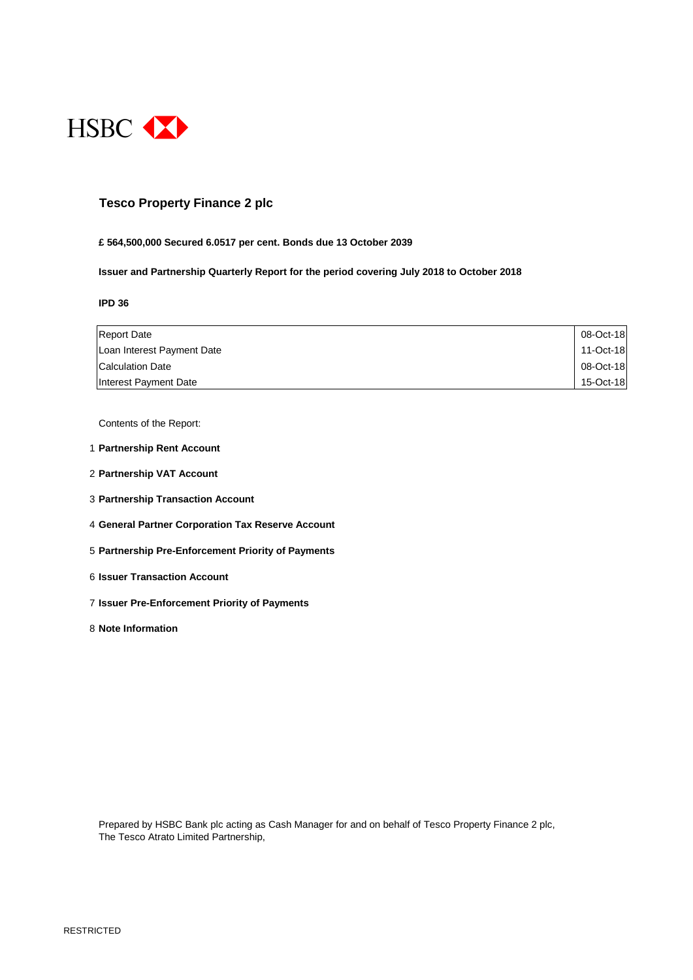

### **Tesco Property Finance 2 plc**

#### **£ 564,500,000 Secured 6.0517 per cent. Bonds due 13 October 2039**

**Issuer and Partnership Quarterly Report for the period covering July 2018 to October 2018**

**IPD 36**

| <b>Report Date</b>         | 08-Oct-18 |
|----------------------------|-----------|
| Loan Interest Payment Date | 11-Oct-18 |
| <b>Calculation Date</b>    | 08-Oct-18 |
| Interest Payment Date      | 15-Oct-18 |

Contents of the Report:

- 1 **Partnership Rent Account**
- 2 **Partnership VAT Account**
- 3 **Partnership Transaction Account**
- 4 **General Partner Corporation Tax Reserve Account**
- 5 **Partnership Pre-Enforcement Priority of Payments**
- 6 **Issuer Transaction Account**
- 7 **Issuer Pre-Enforcement Priority of Payments**
- 8 **Note Information**

Prepared by HSBC Bank plc acting as Cash Manager for and on behalf of Tesco Property Finance 2 plc, The Tesco Atrato Limited Partnership,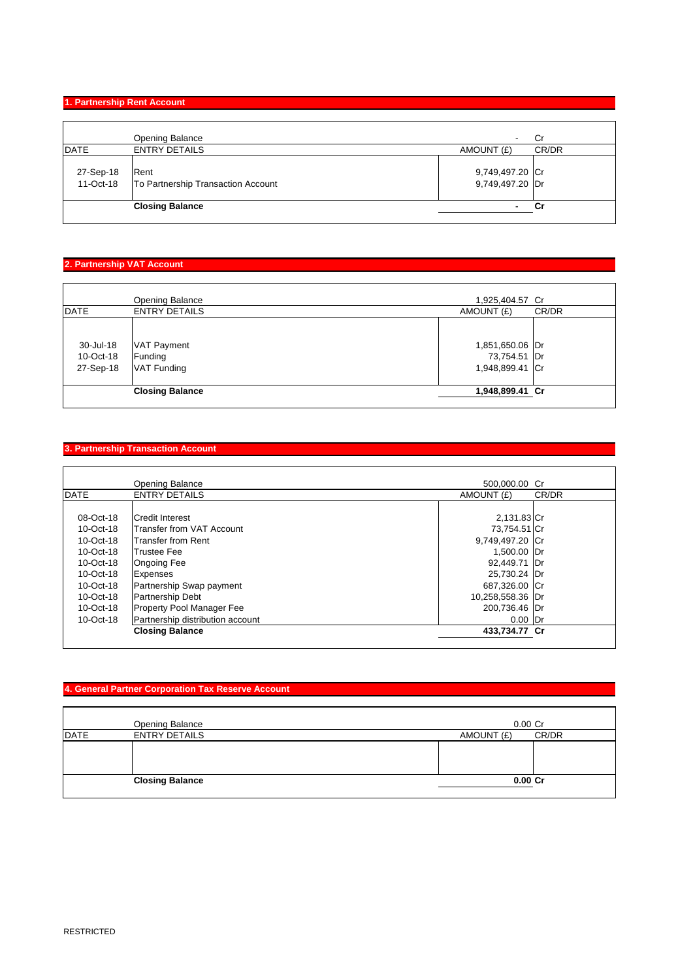#### **1. Partnership Rent Account**

|             | Opening Balance                                        | Cr<br>۰                            |  |
|-------------|--------------------------------------------------------|------------------------------------|--|
| <b>DATE</b> | <b>ENTRY DETAILS</b>                                   | CR/DR<br>AMOUNT (£)                |  |
| 27-Sep-18   | Rent<br>11-Oct-18   To Partnership Transaction Account | 9,749,497.20 Cr<br>9,749,497.20 Dr |  |
|             | <b>Closing Balance</b>                                 | Cr<br>$\blacksquare$               |  |

#### **2. Partnership VAT Account**

|                                     | <b>Opening Balance</b>                       | 1,925,404.57 Cr                                    |       |
|-------------------------------------|----------------------------------------------|----------------------------------------------------|-------|
| <b>DATE</b>                         | <b>ENTRY DETAILS</b>                         | AMOUNT (£)                                         | CR/DR |
| 30-Jul-18<br>10-Oct-18<br>27-Sep-18 | <b>VAT Payment</b><br>Funding<br>VAT Funding | 1,851,650.06 Dr<br>73,754.51 Dr<br>1,948,899.41 Cr |       |
|                                     | <b>Closing Balance</b>                       | 1,948,899.41 Cr                                    |       |
|                                     |                                              |                                                    |       |

# **3. Partnership Transaction Account**

|              | Opening Balance                  | 500,000.00 Cr    |       |
|--------------|----------------------------------|------------------|-------|
| <b>DATE</b>  | <b>ENTRY DETAILS</b>             | AMOUNT (£)       | CR/DR |
|              |                                  |                  |       |
| 08-Oct-18    | <b>ICredit Interest</b>          | 2,131.83 Cr      |       |
| 10-Oct-18    | Transfer from VAT Account        | 73,754.51 Cr     |       |
| $10$ -Oct-18 | Transfer from Rent               | 9,749,497.20 Cr  |       |
| 10-Oct-18    | <b>Trustee Fee</b>               | 1,500.00 Dr      |       |
| $10$ -Oct-18 | <b>Ongoing Fee</b>               | 92,449.71 Dr     |       |
| 10-Oct-18    | <b>Expenses</b>                  | 25,730.24 Dr     |       |
| 10-Oct-18    | Partnership Swap payment         | 687,326.00 Cr    |       |
| 10-Oct-18    | Partnership Debt                 | 10,258,558.36 Dr |       |
| 10-Oct-18    | Property Pool Manager Fee        | 200,736.46 Dr    |       |
| 10-Oct-18    | Partnership distribution account | $0.00$ Dr        |       |
|              | <b>Closing Balance</b>           | 433.734.77 Cr    |       |
|              |                                  |                  |       |

#### **4. General Partner Corporation Tax Reserve Account**

|             | Opening Balance        | $0.00$ Cr           |
|-------------|------------------------|---------------------|
| <b>DATE</b> | <b>ENTRY DETAILS</b>   | CR/DR<br>AMOUNT (£) |
|             |                        |                     |
|             | <b>Closing Balance</b> | $0.00C$ r           |
|             |                        |                     |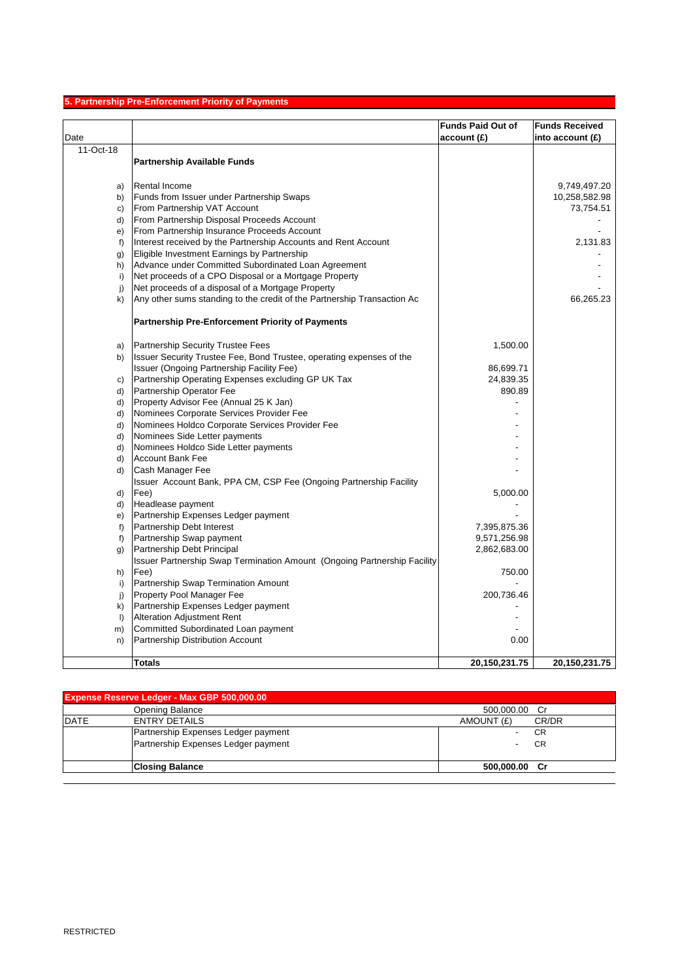# **5. Partnership Pre-Enforcement Priority of Payments**

|              |                                                                                                                   | <b>Funds Paid Out of</b> | <b>Funds Received</b> |
|--------------|-------------------------------------------------------------------------------------------------------------------|--------------------------|-----------------------|
| Date         |                                                                                                                   | account(E)               | into account $(E)$    |
| 11-Oct-18    |                                                                                                                   |                          |                       |
|              | <b>Partnership Available Funds</b>                                                                                |                          |                       |
|              |                                                                                                                   |                          |                       |
| a)           | <b>Rental Income</b>                                                                                              |                          | 9,749,497.20          |
| b)           | Funds from Issuer under Partnership Swaps                                                                         |                          | 10,258,582.98         |
| C)           | From Partnership VAT Account                                                                                      |                          | 73,754.51             |
| d)           | From Partnership Disposal Proceeds Account                                                                        |                          |                       |
| e)           | From Partnership Insurance Proceeds Account                                                                       |                          |                       |
| $f$ )        | Interest received by the Partnership Accounts and Rent Account                                                    |                          | 2,131.83              |
| g)           | Eligible Investment Earnings by Partnership                                                                       |                          |                       |
| h)           | Advance under Committed Subordinated Loan Agreement                                                               |                          |                       |
| i)           | Net proceeds of a CPO Disposal or a Mortgage Property                                                             |                          |                       |
| j)           | Net proceeds of a disposal of a Mortgage Property                                                                 |                          |                       |
| k)           | Any other sums standing to the credit of the Partnership Transaction Ac                                           |                          | 66,265.23             |
|              | <b>Partnership Pre-Enforcement Priority of Payments</b>                                                           |                          |                       |
|              |                                                                                                                   |                          |                       |
| a)           | <b>Partnership Security Trustee Fees</b>                                                                          | 1,500.00                 |                       |
| b)           | Issuer Security Trustee Fee, Bond Trustee, operating expenses of the<br>Issuer (Ongoing Partnership Facility Fee) | 86,699.71                |                       |
| C)           | Partnership Operating Expenses excluding GP UK Tax                                                                | 24,839.35                |                       |
| d)           | Partnership Operator Fee                                                                                          | 890.89                   |                       |
| d)           | Property Advisor Fee (Annual 25 K Jan)                                                                            |                          |                       |
| d)           | Nominees Corporate Services Provider Fee                                                                          |                          |                       |
| d)           | Nominees Holdco Corporate Services Provider Fee                                                                   |                          |                       |
| d)           | Nominees Side Letter payments                                                                                     |                          |                       |
| d)           | Nominees Holdco Side Letter payments                                                                              |                          |                       |
| d)           | <b>Account Bank Fee</b>                                                                                           |                          |                       |
| d)           | Cash Manager Fee                                                                                                  |                          |                       |
|              | Issuer Account Bank, PPA CM, CSP Fee (Ongoing Partnership Facility                                                |                          |                       |
| d)           | Fee)                                                                                                              | 5,000.00                 |                       |
| d)           | Headlease payment                                                                                                 |                          |                       |
| e)           | Partnership Expenses Ledger payment                                                                               |                          |                       |
| f            | Partnership Debt Interest                                                                                         | 7,395,875.36             |                       |
| f)           | Partnership Swap payment                                                                                          | 9,571,256.98             |                       |
| g)           | Partnership Debt Principal                                                                                        | 2,862,683.00             |                       |
|              | Issuer Partnership Swap Termination Amount (Ongoing Partnership Facility)                                         |                          |                       |
| h)           | Fee)                                                                                                              | 750.00                   |                       |
| i)           | Partnership Swap Termination Amount                                                                               |                          |                       |
| j)           | Property Pool Manager Fee                                                                                         | 200,736.46               |                       |
| $\mathsf{k}$ | Partnership Expenses Ledger payment                                                                               |                          |                       |
| $\mathsf{I}$ | <b>Alteration Adjustment Rent</b>                                                                                 |                          |                       |
| m)           | Committed Subordinated Loan payment                                                                               |                          |                       |
| n)           | Partnership Distribution Account                                                                                  | 0.00                     |                       |
|              | <b>Totals</b>                                                                                                     | 20,150,231.75            | 20,150,231.75         |
|              |                                                                                                                   |                          |                       |

| Expense Reserve Ledger - Max GBP 500,000.00 |                                     |                     |  |
|---------------------------------------------|-------------------------------------|---------------------|--|
|                                             | Opening Balance                     | 500.000.00 Cr       |  |
| <b>DATE</b>                                 | <b>ENTRY DETAILS</b>                | AMOUNT (£)<br>CR/DR |  |
|                                             | Partnership Expenses Ledger payment | CR                  |  |
|                                             | Partnership Expenses Ledger payment | CR                  |  |
|                                             | <b>Closing Balance</b>              | 500,000.00 Cr       |  |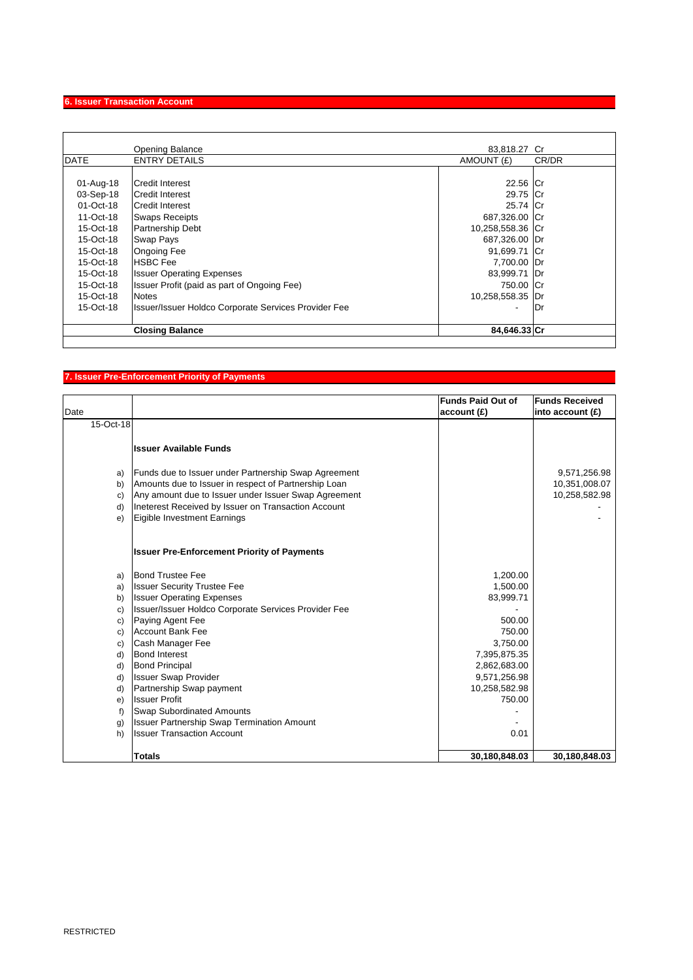# **6. Issuer Transaction Account**

|             | <b>Opening Balance</b>                                      | 83,818.27 Cr     |       |
|-------------|-------------------------------------------------------------|------------------|-------|
| <b>DATE</b> | <b>ENTRY DETAILS</b>                                        | AMOUNT (£)       | CR/DR |
|             |                                                             |                  |       |
| 01-Aug-18   | <b>Credit Interest</b>                                      | 22.56 Cr         |       |
| 03-Sep-18   | <b>Credit Interest</b>                                      | 29.75 Cr         |       |
| 01-Oct-18   | Credit Interest                                             | 25.74 Cr         |       |
| 11-Oct-18   | <b>Swaps Receipts</b>                                       | 687,326.00 Cr    |       |
| $15-Ort-18$ | <b>Partnership Debt</b>                                     | 10,258,558.36 Cr |       |
| 15-Oct-18   | <b>Swap Pays</b>                                            | 687,326.00 Dr    |       |
| 15-Oct-18   | <b>Ongoing Fee</b>                                          | 91,699.71 Cr     |       |
| 15-Oct-18   | <b>HSBC Fee</b>                                             | 7,700.00 Dr      |       |
| 15-Oct-18   | <b>Issuer Operating Expenses</b>                            | 83,999.71 Dr     |       |
| 15-Oct-18   | Issuer Profit (paid as part of Ongoing Fee)                 | 750.00 Cr        |       |
| 15-Oct-18   | <b>Notes</b>                                                | 10,258,558.35    | Dr    |
| 15-Oct-18   | <b>Issuer/Issuer Holdco Corporate Services Provider Fee</b> | ٠                | lDr   |
|             | <b>Closing Balance</b>                                      | 84,646.33 Cr     |       |
|             |                                                             |                  |       |

# **7. Issuer Pre-Enforcement Priority of Payments**

| Date      |                                                      | <b>Funds Paid Out of</b><br>account(E) | <b>Funds Received</b><br>into account $(f)$ |
|-----------|------------------------------------------------------|----------------------------------------|---------------------------------------------|
| 15-Oct-18 |                                                      |                                        |                                             |
|           |                                                      |                                        |                                             |
|           | <b>Issuer Available Funds</b>                        |                                        |                                             |
|           |                                                      |                                        |                                             |
| a)        | Funds due to Issuer under Partnership Swap Agreement |                                        | 9,571,256.98                                |
| b)        | Amounts due to Issuer in respect of Partnership Loan |                                        | 10,351,008.07                               |
| c)        | Any amount due to Issuer under Issuer Swap Agreement |                                        | 10,258,582.98                               |
| d)        | Ineterest Received by Issuer on Transaction Account  |                                        |                                             |
| e)        | Eigible Investment Earnings                          |                                        |                                             |
|           |                                                      |                                        |                                             |
|           | <b>Issuer Pre-Enforcement Priority of Payments</b>   |                                        |                                             |
| a)        | <b>Bond Trustee Fee</b>                              | 1,200.00                               |                                             |
| a)        | <b>Issuer Security Trustee Fee</b>                   | 1,500.00                               |                                             |
| b)        | <b>Issuer Operating Expenses</b>                     | 83,999.71                              |                                             |
| c)        | Issuer/Issuer Holdco Corporate Services Provider Fee |                                        |                                             |
| c)        | Paying Agent Fee                                     | 500.00                                 |                                             |
| c)        | <b>Account Bank Fee</b>                              | 750.00                                 |                                             |
| C)        | Cash Manager Fee                                     | 3,750.00                               |                                             |
| d)        | <b>Bond Interest</b>                                 | 7,395,875.35                           |                                             |
| d)        | <b>Bond Principal</b>                                | 2,862,683.00                           |                                             |
| d)        | <b>Issuer Swap Provider</b>                          | 9,571,256.98                           |                                             |
| d)        | Partnership Swap payment                             | 10,258,582.98                          |                                             |
| e)        | <b>Issuer Profit</b>                                 | 750.00                                 |                                             |
| f)        | <b>Swap Subordinated Amounts</b>                     |                                        |                                             |
| g)        | <b>Issuer Partnership Swap Termination Amount</b>    |                                        |                                             |
| h)        | <b>Issuer Transaction Account</b>                    | 0.01                                   |                                             |
|           |                                                      |                                        |                                             |
|           | <b>Totals</b>                                        | 30,180,848.03                          | 30,180,848.03                               |